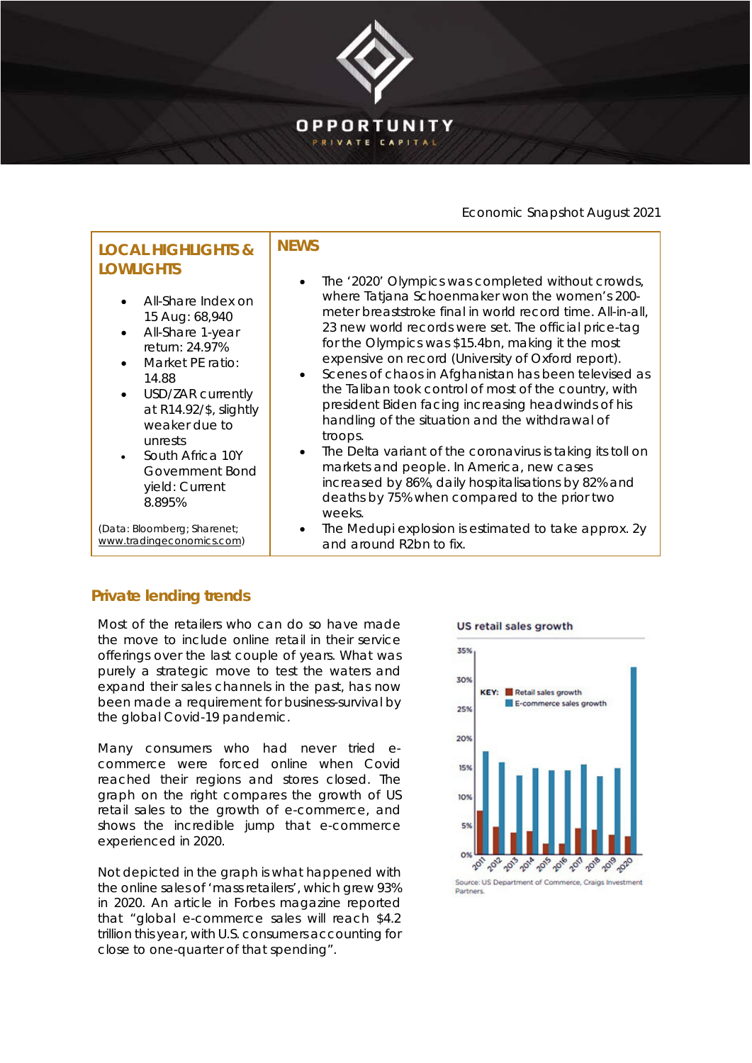

# Economic Snapshot August 2021

#### **LOCAL HIGHLIGHTS & LOWLIGHTS** • All-Share Index on 15 Aug: 68,940 All-Share 1-year return: 24.97% Market PE ratio: 14.88 USD/ZAR currently at R14.92/\$, slightly weaker due to unrests • South Africa 10Y Government Bond yield: Current 8.895% (Data: Bloomberg; Sharenet; [www.tradingeconomics.com\)](http://www.tradingeconomics.com/) **NEWS** The '2020' Olympics was completed without crowds, where Tatjana Schoenmaker won the women's 200 meter breaststroke final in world record time. All-in-all, 23 new world records were set. The official price-tag for the Olympics was \$15.4bn, making it the most expensive on record (University of Oxford report). • Scenes of chaos in Afghanistan has been televised as the Taliban took control of most of the country, with president Biden facing increasing headwinds of his handling of the situation and the withdrawal of troops. The Delta variant of the coronavirus is taking its toll on markets and people. In America, new cases increased by 86%, daily hospitalisations by 82% and deaths by 75% when compared to the prior two weeks. • The Medupi explosion is estimated to take approx. 2y and around R2bn to fix.

# **Private lending trends**

Most of the retailers who can do so have made the move to include online retail in their service offerings over the last couple of years. What was purely a strategic move to test the waters and expand their sales channels in the past, has now been made a requirement for business-survival by the global Covid-19 pandemic.

Many consumers who had never tried ecommerce were forced online when Covid reached their regions and stores closed. The graph on the right compares the growth of US retail sales to the growth of e-commerce, and shows the incredible jump that e-commerce experienced in 2020.

Not depicted in the graph is what happened with the online sales of 'mass retailers', which grew 93% in 2020. An article in Forbes magazine reported that "global e-commerce sales will reach \$4.2 trillion this year, with U.S. consumers accounting for close to one-quarter of that spending".

### US retail sales growth



**Dartners**